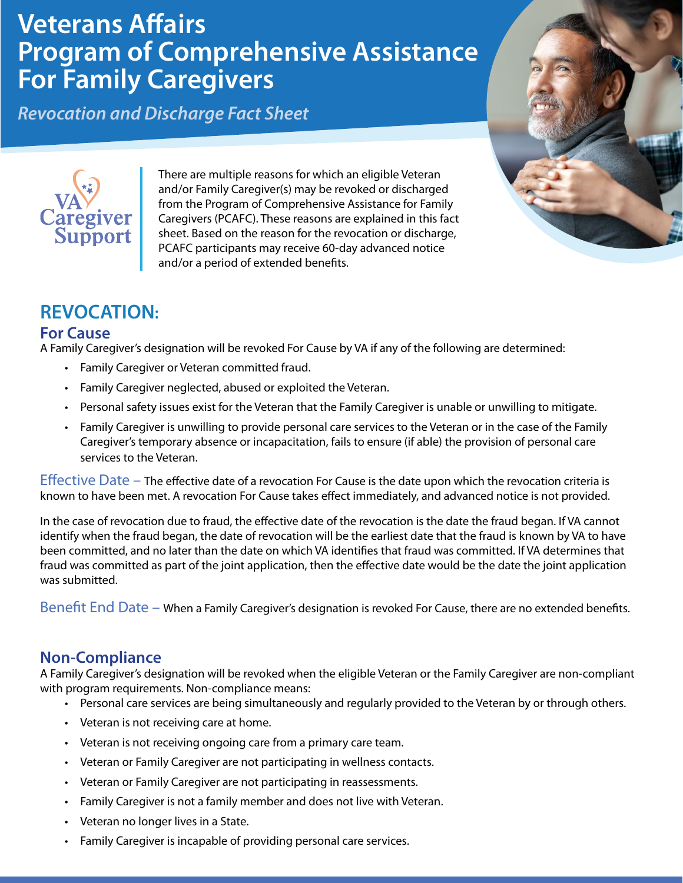# **Veterans Affairs Program of Comprehensive Assistance For Family Caregivers**

and/or a period of extended benefits.

*Revocation and Discharge Fact Sheet*



# **REVOCATION:**

aregiver<br>Support

#### **For Cause**

A Family Caregiver's designation will be revoked For Cause by VA if any of the following are determined:

There are multiple reasons for which an eligible Veteran and/or Family Caregiver(s) may be revoked or discharged from the Program of Comprehensive Assistance for Family Caregivers (PCAFC). These reasons are explained in this fact sheet. Based on the reason for the revocation or discharge, PCAFC participants may receive 60-day advanced notice

- Family Caregiver or Veteran committed fraud.
- Family Caregiver neglected, abused or exploited the Veteran.
- Personal safety issues exist for the Veteran that the Family Caregiver is unable or unwilling to mitigate.
- Family Caregiver is unwilling to provide personal care services to the Veteran or in the case of the Family Caregiver's temporary absence or incapacitation, fails to ensure (if able) the provision of personal care services to the Veteran.

Effective Date – The effective date of a revocation For Cause is the date upon which the revocation criteria is known to have been met. A revocation For Cause takes effect immediately, and advanced notice is not provided.

In the case of revocation due to fraud, the effective date of the revocation is the date the fraud began. If VA cannot identify when the fraud began, the date of revocation will be the earliest date that the fraud is known by VA to have been committed, and no later than the date on which VA identifies that fraud was committed. If VA determines that fraud was committed as part of the joint application, then the effective date would be the date the joint application was submitted.

Benefit End Date – When a Family Caregiver's designation is revoked For Cause, there are no extended benefits.

## **Non-Compliance**

A Family Caregiver's designation will be revoked when the eligible Veteran or the Family Caregiver are non-compliant with program requirements. Non-compliance means:

- Personal care services are being simultaneously and regularly provided to the Veteran by or through others.
- Veteran is not receiving care at home.
- Veteran is not receiving ongoing care from a primary care team.
- Veteran or Family Caregiver are not participating in wellness contacts.
- Veteran or Family Caregiver are not participating in reassessments.
- Family Caregiver is not a family member and does not live with Veteran.
- Veteran no longer lives in a State.
- Family Caregiver is incapable of providing personal care services.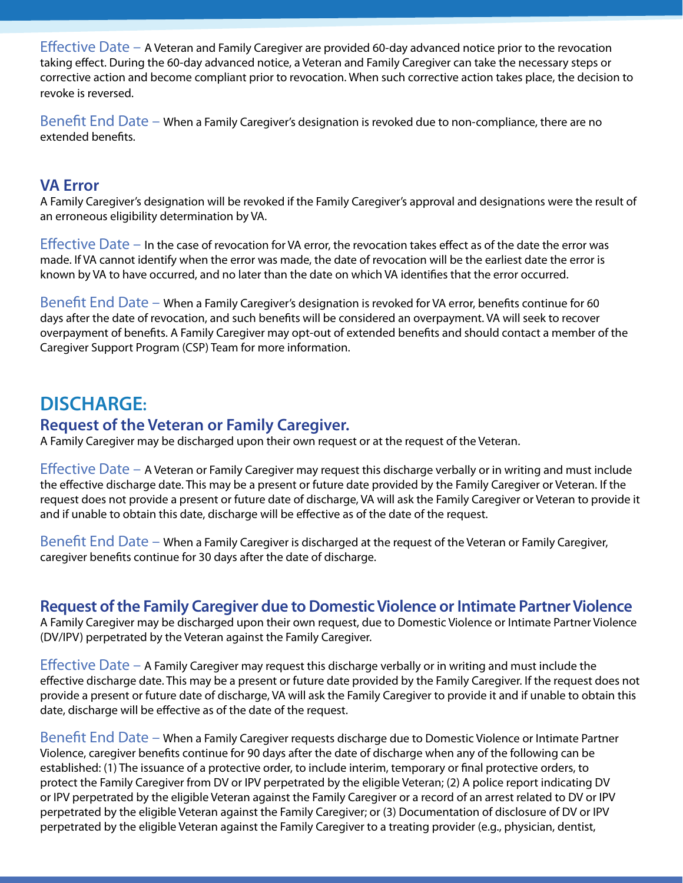Effective Date – A Veteran and Family Caregiver are provided 60-day advanced notice prior to the revocation taking effect. During the 60-day advanced notice, a Veteran and Family Caregiver can take the necessary steps or corrective action and become compliant prior to revocation. When such corrective action takes place, the decision to revoke is reversed.

Benefit End Date – When a Family Caregiver's designation is revoked due to non-compliance, there are no extended benefits.

#### **VA Error**

A Family Caregiver's designation will be revoked if the Family Caregiver's approval and designations were the result of an erroneous eligibility determination by VA.

Effective Date – In the case of revocation for VA error, the revocation takes effect as of the date the error was made. If VA cannot identify when the error was made, the date of revocation will be the earliest date the error is known by VA to have occurred, and no later than the date on which VA identifies that the error occurred.

Benefit End Date – When a Family Caregiver's designation is revoked for VA error, benefits continue for 60 days after the date of revocation, and such benefits will be considered an overpayment. VA will seek to recover overpayment of benefits. A Family Caregiver may opt-out of extended benefits and should contact a member of the Caregiver Support Program (CSP) Team for more information.

## **DISCHARGE:**

#### **Request of the Veteran or Family Caregiver.**

A Family Caregiver may be discharged upon their own request or at the request of the Veteran.

Effective Date – A Veteran or Family Caregiver may request this discharge verbally or in writing and must include the effective discharge date. This may be a present or future date provided by the Family Caregiver or Veteran. If the request does not provide a present or future date of discharge, VA will ask the Family Caregiver or Veteran to provide it and if unable to obtain this date, discharge will be effective as of the date of the request.

Benefit End Date – When a Family Caregiver is discharged at the request of the Veteran or Family Caregiver, caregiver benefits continue for 30 days after the date of discharge.

## **Request of the Family Caregiver due to Domestic Violence or Intimate Partner Violence**

A Family Caregiver may be discharged upon their own request, due to Domestic Violence or Intimate Partner Violence (DV/IPV) perpetrated by the Veteran against the Family Caregiver.

Effective Date – A Family Caregiver may request this discharge verbally or in writing and must include the effective discharge date. This may be a present or future date provided by the Family Caregiver. If the request does not provide a present or future date of discharge, VA will ask the Family Caregiver to provide it and if unable to obtain this date, discharge will be effective as of the date of the request.

Benefit End Date – When a Family Caregiver requests discharge due to Domestic Violence or Intimate Partner Violence, caregiver benefits continue for 90 days after the date of discharge when any of the following can be established: (1) The issuance of a protective order, to include interim, temporary or final protective orders, to protect the Family Caregiver from DV or IPV perpetrated by the eligible Veteran; (2) A police report indicating DV or IPV perpetrated by the eligible Veteran against the Family Caregiver or a record of an arrest related to DV or IPV perpetrated by the eligible Veteran against the Family Caregiver; or (3) Documentation of disclosure of DV or IPV perpetrated by the eligible Veteran against the Family Caregiver to a treating provider (e.g., physician, dentist,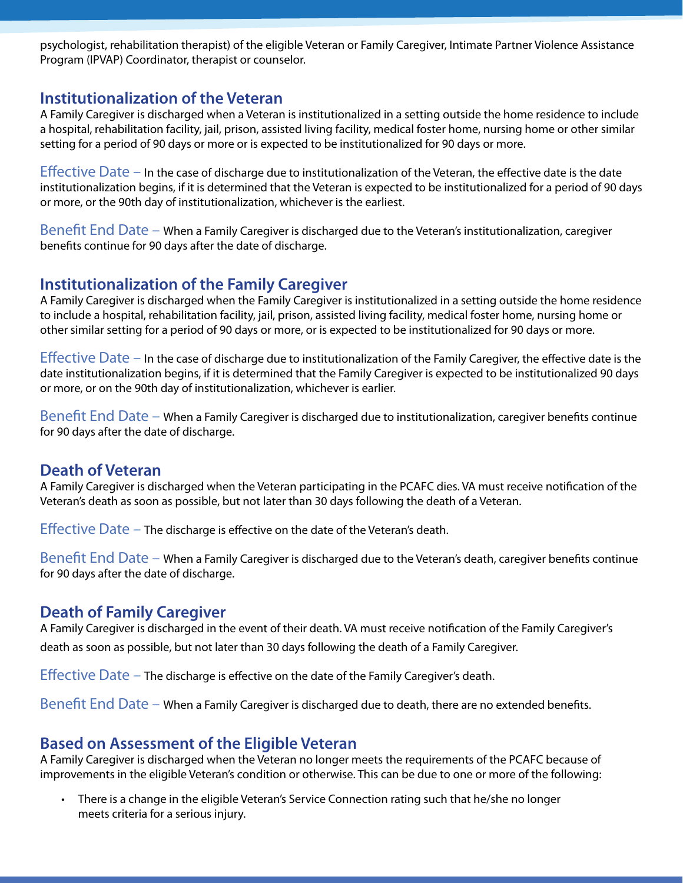psychologist, rehabilitation therapist) of the eligible Veteran or Family Caregiver, Intimate Partner Violence Assistance Program (IPVAP) Coordinator, therapist or counselor.

## **Institutionalization of the Veteran**

A Family Caregiver is discharged when a Veteran is institutionalized in a setting outside the home residence to include a hospital, rehabilitation facility, jail, prison, assisted living facility, medical foster home, nursing home or other similar setting for a period of 90 days or more or is expected to be institutionalized for 90 days or more.

Effective Date – In the case of discharge due to institutionalization of the Veteran, the effective date is the date institutionalization begins, if it is determined that the Veteran is expected to be institutionalized for a period of 90 days or more, or the 90th day of institutionalization, whichever is the earliest.

Benefit End Date – When a Family Caregiver is discharged due to the Veteran's institutionalization, caregiver benefits continue for 90 days after the date of discharge.

## **Institutionalization of the Family Caregiver**

A Family Caregiver is discharged when the Family Caregiver is institutionalized in a setting outside the home residence to include a hospital, rehabilitation facility, jail, prison, assisted living facility, medical foster home, nursing home or other similar setting for a period of 90 days or more, or is expected to be institutionalized for 90 days or more.

Effective Date – In the case of discharge due to institutionalization of the Family Caregiver, the effective date is the date institutionalization begins, if it is determined that the Family Caregiver is expected to be institutionalized 90 days or more, or on the 90th day of institutionalization, whichever is earlier.

Benefit End Date – When a Family Caregiver is discharged due to institutionalization, caregiver benefits continue for 90 days after the date of discharge.

## **Death of Veteran**

A Family Caregiver is discharged when the Veteran participating in the PCAFC dies. VA must receive notification of the Veteran's death as soon as possible, but not later than 30 days following the death of a Veteran.

Effective Date – The discharge is effective on the date of the Veteran's death.

Benefit End Date – When a Family Caregiver is discharged due to the Veteran's death, caregiver benefits continue for 90 days after the date of discharge.

## **Death of Family Caregiver**

A Family Caregiver is discharged in the event of their death. VA must receive notification of the Family Caregiver's death as soon as possible, but not later than 30 days following the death of a Family Caregiver.

Effective Date – The discharge is effective on the date of the Family Caregiver's death.

Benefit End Date – When a Family Caregiver is discharged due to death, there are no extended benefits.

## **Based on Assessment of the Eligible Veteran**

A Family Caregiver is discharged when the Veteran no longer meets the requirements of the PCAFC because of improvements in the eligible Veteran's condition or otherwise. This can be due to one or more of the following:

• There is a change in the eligible Veteran's Service Connection rating such that he/she no longer meets criteria for a serious injury.